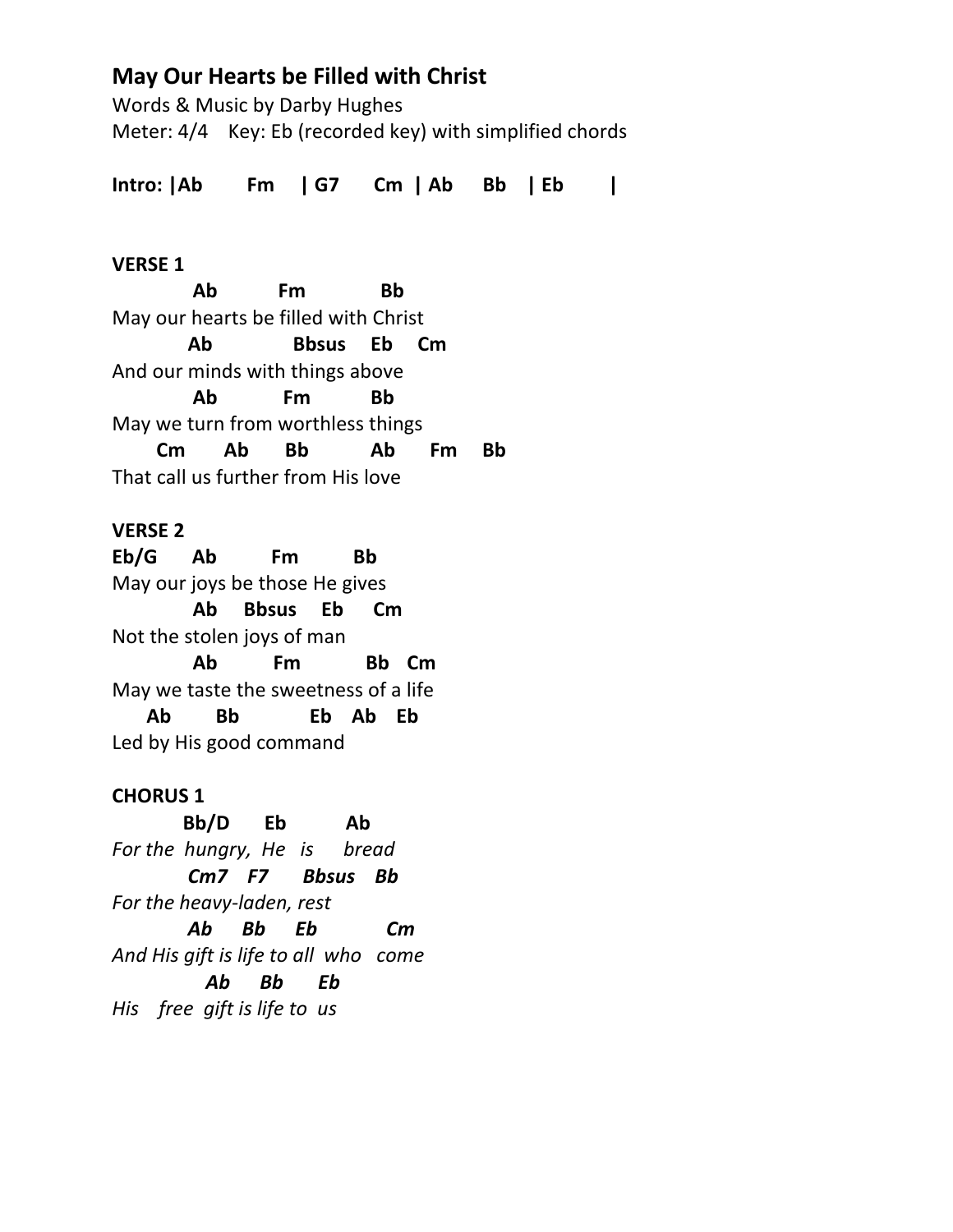# **May Our Hearts be Filled with Christ**

Words & Music by Darby Hughes Meter: 4/4 Key: Eb (recorded key) with simplified chords

**Intro: |Ab Fm | G7 Cm | Ab Bb | Eb |**

### **VERSE 1**

 **Ab Fm Bb** May our hearts be filled with Christ  **Ab Bbsus Eb Cm** And our minds with things above  **Ab Fm Bb**  May we turn from worthless things  **Cm Ab Bb Ab Fm Bb** That call us further from His love

## **VERSE 2**

**Eb/G Ab Fm Bb** May our joys be those He gives  **Ab Bbsus Eb Cm** Not the stolen joys of man  **Ab Fm Bb Cm** May we taste the sweetness of a life  **Ab Bb Eb Ab Eb** Led by His good command

## **CHORUS 1**

 **Bb/D Eb Ab** *For the hungry, He is bread Cm7 F7 Bbsus Bb For the heavy-laden, rest Ab Bb Eb Cm And His gift is life to all who come Ab Bb Eb His free gift is life to us*